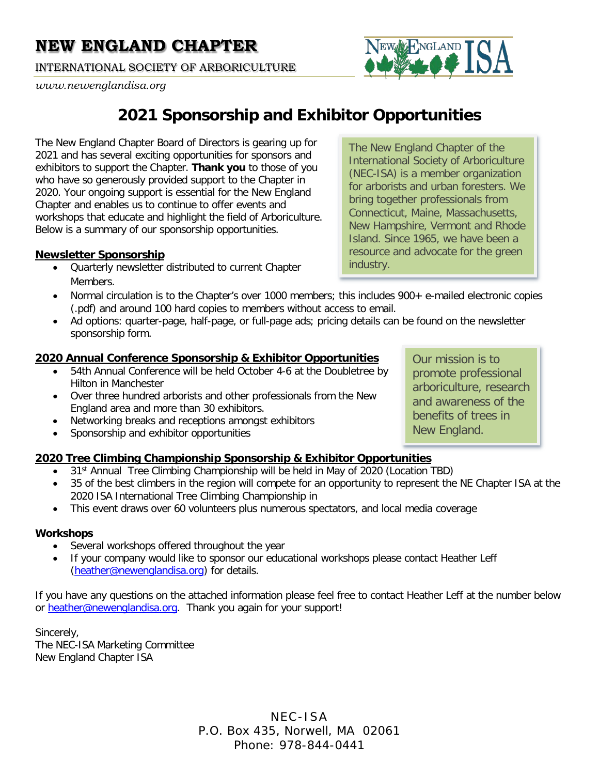INTERNATIONAL SOCIETY OF ARBORICULTURE

#### *www.newenglandisa.org*



The New England Chapter Board of Directors is gearing up for 2021 and has several exciting opportunities for sponsors and exhibitors to support the Chapter. **Thank you** to those of you who have so generously provided support to the Chapter in 2020. Your ongoing support is essential for the New England Chapter and enables us to continue to offer events and workshops that educate and highlight the field of Arboriculture. Below is a summary of our sponsorship opportunities.

### **[Newsletter Sponsorship](#page-1-0)**

• Quarterly newsletter distributed to current Chapter Members.

The New England Chapter of the International Society of Arboriculture (NEC-ISA) is a member organization for arborists and urban foresters. We bring together professionals from Connecticut, Maine, Massachusetts, New Hampshire, Vermont and Rhode Island. Since 1965, we have been a resource and advocate for the green industry.

**I**NGLAND

Our mission is to promote professional arboriculture, research and awareness of the benefits of trees in

New England.

- Normal circulation is to the Chapter's over 1000 members; this includes 900+ e-mailed electronic copies (.pdf) and around 100 hard copies to members without access to email.
- Ad options: quarter-page, half-page, or full-page ads; pricing details can be found on the newsletter sponsorship form.

### **[2020 Annual Conference Sponsorship & Exhibitor Opportunities](#page-2-0)**

- 54th Annual Conference will be held October 4-6 at the Doubletree by Hilton in Manchester
- Over three hundred arborists and other professionals from the New England area and more than 30 exhibitors.
- Networking breaks and receptions amongst exhibitors
- Sponsorship and exhibitor opportunities

### **[2020 Tree Climbing Championship Sponsorship & Exhibitor Opportunities](#page-4-0)**

- 31<sup>st</sup> Annual Tree Climbing Championship will be held in May of 2020 (Location TBD)
- 35 of the best climbers in the region will compete for an opportunity to represent the NE Chapter ISA at the 2020 ISA International Tree Climbing Championship in
- This event draws over 60 volunteers plus numerous spectators, and local media coverage

#### **Workshops**

- Several workshops offered throughout the year
- If your company would like to sponsor our educational workshops please contact Heather Leff [\(heather@newenglandisa.org\)](mailto:heather@newenglandisa.org) for details.

If you have any questions on the attached information please feel free to contact Heather Leff at the number below or [heather@newenglandisa.org.](mailto:heather@newenglandisa.org) Thank you again for your support!

Sincerely, The NEC-ISA Marketing Committee New England Chapter ISA

> NEC-ISA P.O. Box 435, Norwell, MA 02061 Phone: 978-844-0441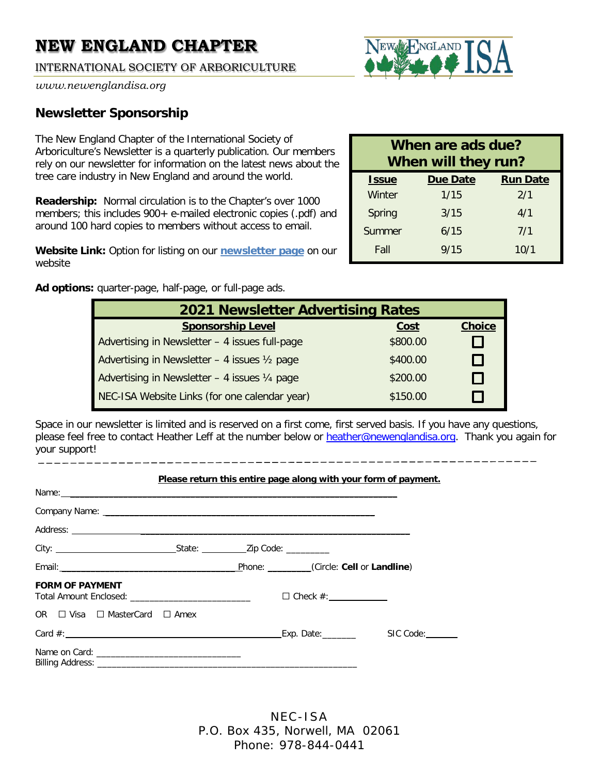INTERNATIONAL SOCIETY OF ARBORICULTURE



*www.newenglandisa.org*

### <span id="page-1-0"></span>**Newsletter Sponsorship**

The New England Chapter of the International Society of Arboriculture's Newsletter is a quarterly publication. Our members rely on our newsletter for information on the latest news about the tree care industry in New England and around the world.

**Readership:** Normal circulation is to the Chapter's over 1000 members; this includes 900+ e-mailed electronic copies (.pdf) and around 100 hard copies to members without access to email.

**Website Link:** Option for listing on our **[newsletter page](https://newenglandisa.org/news/newsletters)** on our website

**Ad options:** quarter-page, half-page, or full-page ads.

| When are ads due?<br>When will they run? |                 |                 |  |  |
|------------------------------------------|-----------------|-----------------|--|--|
| <b>Issue</b>                             | <b>Due Date</b> | <b>Run Date</b> |  |  |
| Winter                                   | 1/15            | 2/1             |  |  |
| Spring                                   | 3/15            | 4/1             |  |  |
| Summer                                   | 6/15            | 7/1             |  |  |
| Fall                                     | 9/15            | 10/1            |  |  |

| <b>2021 Newsletter Advertising Rates</b>       |          |               |  |  |  |
|------------------------------------------------|----------|---------------|--|--|--|
| <b>Sponsorship Level</b>                       | Cost     | <b>Choice</b> |  |  |  |
| Advertising in Newsletter - 4 issues full-page | \$800.00 |               |  |  |  |
| Advertising in Newsletter - 4 issues 1/2 page  | \$400.00 |               |  |  |  |
| Advertising in Newsletter - 4 issues 1/4 page  | \$200.00 |               |  |  |  |
| NEC-ISA Website Links (for one calendar year)  | \$150.00 |               |  |  |  |

Space in our newsletter is limited and is reserved on a first come, first served basis. If you have any questions, please feel free to contact Heather Leff at the number below or [heather@newenglandisa.org.](mailto:heather@newenglandisa.org) Thank you again for your support!

|                                                                                                                                                                                                                                      | Please return this entire page along with your form of payment. |  |
|--------------------------------------------------------------------------------------------------------------------------------------------------------------------------------------------------------------------------------------|-----------------------------------------------------------------|--|
|                                                                                                                                                                                                                                      |                                                                 |  |
|                                                                                                                                                                                                                                      |                                                                 |  |
|                                                                                                                                                                                                                                      |                                                                 |  |
|                                                                                                                                                                                                                                      |                                                                 |  |
| Email: <u>Andreas and American and American and American and American and American and American and American and American and American and American and American and American and American and American and American and America</u> | Phone: (Circle: Cell or Landline)                               |  |
| <b>FORM OF PAYMENT</b>                                                                                                                                                                                                               | $\Box$ Check $\#$ :                                             |  |
| OR □ Visa □ MasterCard □ Amex                                                                                                                                                                                                        |                                                                 |  |
|                                                                                                                                                                                                                                      |                                                                 |  |
|                                                                                                                                                                                                                                      |                                                                 |  |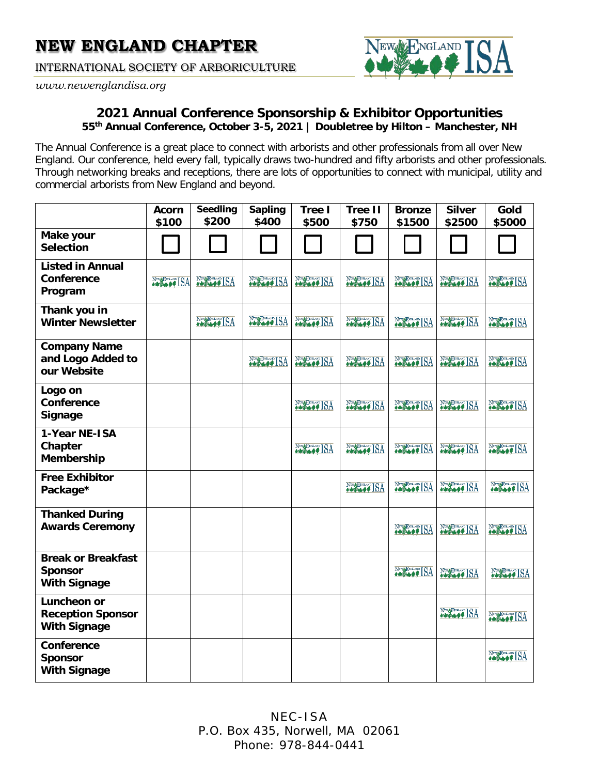INTERNATIONAL SOCIETY OF ARBORICULTURE

NGLAND

<span id="page-2-0"></span>*www.newenglandisa.org*

### **2021 Annual Conference Sponsorship & Exhibitor Opportunities 55th Annual Conference, October 3-5, 2021 | Doubletree by Hilton – Manchester, NH**

The Annual Conference is a great place to connect with arborists and other professionals from all over New England. Our conference, held every fall, typically draws two-hundred and fifty arborists and other professionals. Through networking breaks and receptions, there are lots of opportunities to connect with municipal, utility and commercial arborists from New England and beyond.

|                                                                    | <b>Acorn</b><br>\$100 | <b>Seedling</b><br>\$200 | <b>Sapling</b><br>\$400 | <b>Tree I</b><br>\$500 | <b>Tree II</b><br>\$750 | <b>Bronze</b><br>\$1500 | <b>Silver</b><br>\$2500 | Gold<br>\$5000 |
|--------------------------------------------------------------------|-----------------------|--------------------------|-------------------------|------------------------|-------------------------|-------------------------|-------------------------|----------------|
| Make your<br><b>Selection</b>                                      |                       |                          |                         |                        |                         |                         |                         |                |
| <b>Listed in Annual</b><br>Conference<br>Program                   | November 18A          | NEW ISA                  | NEW ISA                 | New BASE ISA           | November 194            | NEW ISA                 | NEW ISA                 | NEW ISA        |
| Thank you in<br><b>Winter Newsletter</b>                           |                       | Note of ISA              | NEW OF ISA              | NEW BOARD ISA          | NEW YORK                | No Second ISA           | November ISA            | NEW BOAT ISA   |
| <b>Company Name</b><br>and Logo Added to<br>our Website            |                       |                          | NEW BREAK ISA           | NEW BOAT ISA           | New Branch ISA          | No Second ISA           | NEW ISA                 | NEW ISA        |
| Logo on<br>Conference<br>Signage                                   |                       |                          |                         | NEW ISA                | NEW ISA                 | NEW ISA                 | NEW LOW ISA             | NEW LOW ISA    |
| 1-Year NE-ISA<br>Chapter<br><b>Membership</b>                      |                       |                          |                         | NEW ISA                | NEW ISA                 | NEW ISA                 | NEW LOW ISA             | NEW ISA        |
| <b>Free Exhibitor</b><br>Package*                                  |                       |                          |                         |                        | NEW BOAT ISA            | NEW ISA                 | NEW COMPISA             | NEW ISA        |
| <b>Thanked During</b><br><b>Awards Ceremony</b>                    |                       |                          |                         |                        |                         | NEW ISA                 | NEW OF ISA              | NEW ISA        |
| <b>Break or Breakfast</b><br><b>Sponsor</b><br><b>With Signage</b> |                       |                          |                         |                        |                         | Note of ISA             | NEW BRANCH ISA          | NEW OF ISA     |
| Luncheon or<br><b>Reception Sponsor</b><br><b>With Signage</b>     |                       |                          |                         |                        |                         |                         | NEW LOOKING             | NEW BOARD ISA  |
| Conference<br><b>Sponsor</b><br><b>With Signage</b>                |                       |                          |                         |                        |                         |                         |                         | November ISA   |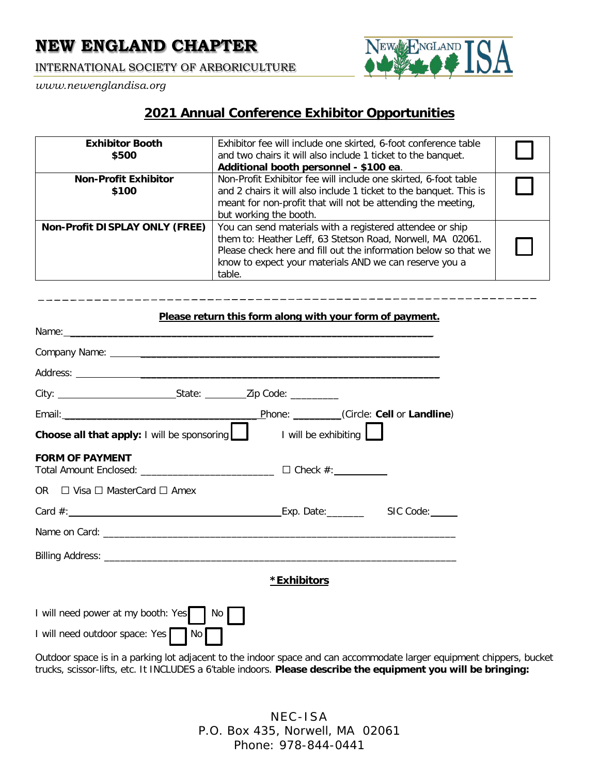INTERNATIONAL SOCIETY OF ARBORICULTURE

*www.newenglandisa.org*



### **2021 Annual Conference Exhibitor Opportunities**

| <b>Exhibitor Booth</b><br>\$500       | Exhibitor fee will include one skirted, 6-foot conference table<br>and two chairs it will also include 1 ticket to the banquet.<br>Additional booth personnel - \$100 ea.                                                                                      |  |
|---------------------------------------|----------------------------------------------------------------------------------------------------------------------------------------------------------------------------------------------------------------------------------------------------------------|--|
| <b>Non-Profit Exhibitor</b><br>\$100  | Non-Profit Exhibitor fee will include one skirted, 6-foot table<br>and 2 chairs it will also include 1 ticket to the banquet. This is<br>meant for non-profit that will not be attending the meeting,<br>but working the booth.                                |  |
| <b>Non-Profit DISPLAY ONLY (FREE)</b> | You can send materials with a registered attendee or ship<br>them to: Heather Leff, 63 Stetson Road, Norwell, MA 02061.<br>Please check here and fill out the information below so that we<br>know to expect your materials AND we can reserve you a<br>table. |  |

# **Please return this form along with your form of payment.** Name: \_\_\_\_\_\_\_\_\_\_\_\_\_\_\_\_\_\_\_\_\_\_\_\_\_\_\_\_\_\_\_\_\_\_\_\_\_\_\_\_\_\_\_\_\_\_\_\_\_\_\_\_\_\_\_\_\_\_\_\_\_\_\_\_\_\_\_\_ Company Name: \_\_\_\_\_\_\_\_\_\_\_\_\_\_\_\_\_\_\_\_\_\_\_\_\_\_\_\_\_\_\_\_\_\_\_\_\_\_\_\_\_\_\_\_\_\_\_\_\_\_\_\_\_\_\_\_ Address: \_\_\_\_\_\_\_\_\_\_\_\_\_\_\_\_\_\_\_\_\_\_\_\_\_\_\_\_\_\_\_\_\_\_\_\_\_\_\_\_\_\_\_\_\_\_\_\_\_\_\_\_\_\_\_\_ City: City: City: City: City: City: City: City: City: Code: City: Code: City: Code: City: City: City: City: City: City: City: City: City: City: City: City: City: City: City: City: City: City: City: City: City: City: City: Email: \_\_\_\_\_\_\_\_\_\_\_\_\_\_\_\_\_\_\_\_\_\_\_\_\_\_\_\_\_\_\_\_\_\_\_\_ Phone: \_\_\_\_\_\_\_\_\_(Circle: **Cell** or **Landline**) **Choose all that apply:** I will be sponsoring **I** I will be exhibiting **I FORM OF PAYMENT**  Total Amount Enclosed: \_\_\_\_\_\_\_\_\_\_\_\_\_\_\_\_\_\_\_\_\_\_\_\_\_ □ Check #: OR  $\Box$  Visa  $\Box$  MasterCard  $\Box$  Amex Card #: SIC Code: Exp. Date: SIC Code: SIC Code: Name on Card: \_\_\_\_\_\_\_\_\_\_\_\_\_\_\_\_\_\_\_\_\_\_\_\_\_\_\_\_\_\_\_\_\_\_\_\_\_\_\_\_\_\_\_\_\_\_\_\_\_\_\_\_\_\_\_\_\_\_\_\_\_\_\_\_\_\_ Billing Address: \_\_\_\_\_\_\_\_\_\_\_\_\_\_\_\_\_\_\_\_\_\_\_\_\_\_\_\_\_\_\_\_\_\_\_\_\_\_\_\_\_\_\_\_\_\_\_\_\_\_\_\_\_\_\_\_\_\_\_\_\_\_\_\_\_\_ **\*Exhibitors** I will need power at my booth: Yes No I will need outdoor space: Yes No

Outdoor space is in a parking lot adjacent to the indoor space and can accommodate larger equipment chippers, bucket trucks, scissor-lifts, etc. It INCLUDES a 6'table indoors. **Please describe the equipment you will be bringing:**

> NEC-ISA P.O. Box 435, Norwell, MA 02061 Phone: 978-844-0441